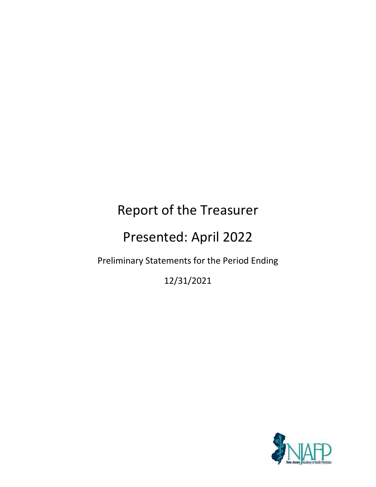## Report of the Treasurer

### Presented: April 2022

### Preliminary Statements for the Period Ending

12/31/2021

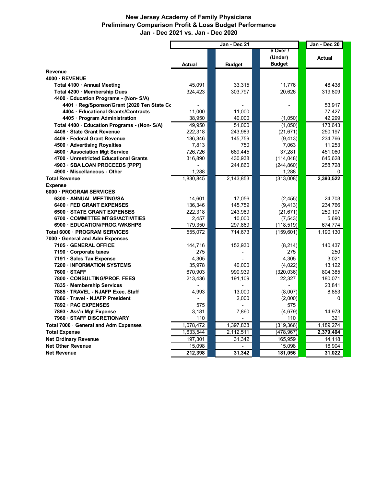#### **New Jersey Academy of Family Physicians Preliminary Comparison Profit & Loss Budget Performance Jan - Dec 2021 vs. Jan - Dec 2020**

|                                             | Jan - Dec 21 |  |               |  | Jan - Dec 20  |           |
|---------------------------------------------|--------------|--|---------------|--|---------------|-----------|
|                                             |              |  |               |  | \$ Over /     |           |
|                                             |              |  |               |  | (Under)       | Actual    |
|                                             | Actual       |  | <b>Budget</b> |  | <b>Budget</b> |           |
| Revenue                                     |              |  |               |  |               |           |
| 4000 · REVENUE                              |              |  |               |  |               |           |
| Total 4100 · Annual Meeting                 | 45,091       |  | 33,315        |  | 11,776        | 48,438    |
| Total 4200 · Membership Dues                | 324,423      |  | 303,797       |  | 20,626        | 319,809   |
| 4400 · Education Programs - (Non-S/A)       |              |  |               |  |               |           |
| 4401 · Reg/Sponsor/Grant (2020 Ten State Co |              |  |               |  |               | 53,917    |
| 4404 · Educational Grants/Contracts         | 11,000       |  | 11,000        |  |               | 77,427    |
| 4405 · Program Administration               | 38,950       |  | 40,000        |  | (1,050)       | 42,299    |
| Total 4400 · Education Programs - (Non-S/A) | 49,950       |  | 51,000        |  | (1,050)       | 173,643   |
| 4408 · State Grant Revenue                  | 222,318      |  | 243,989       |  | (21, 671)     | 250,197   |
| 4409 · Federal Grant Revenue                | 136,346      |  | 145,759       |  | (9, 413)      | 234,766   |
| 4500 · Advertising Royalties                | 7,813        |  | 750           |  | 7,063         | 11,253    |
| 4600 · Association Mgt Service              | 726,726      |  | 689,445       |  | 37,281        | 451,060   |
| 4700 · Unrestricted Educational Grants      | 316,890      |  | 430,938       |  | (114, 048)    | 645,628   |
| 4903 · SBA LOAN PROCEEDS [PPP]              |              |  | 244,860       |  | (244, 860)    | 258,728   |
| 4900 · Miscellaneous - Other                | 1.288        |  |               |  | 1,288         | 0         |
| <b>Total Revenue</b>                        | 1.830.845    |  | 2,143,853     |  | (313,008)     | 2,393,522 |
| <b>Expense</b>                              |              |  |               |  |               |           |
| 6000 · PROGRAM SERVICES                     |              |  |               |  |               |           |
| 6300 ANNUAL MEETING/SA                      | 14,601       |  | 17,056        |  | (2, 455)      | 24,703    |
| 6400 · FED GRANT EXPENSES                   | 136,346      |  | 145,759       |  | (9, 413)      | 234,766   |
| 6500 · STATE GRANT EXPENSES                 | 222,318      |  | 243,989       |  | (21, 671)     | 250,197   |
| 6700 COMMITTEE MTGS/ACTIVITIES              | 2,457        |  | 10,000        |  | (7, 543)      | 5,690     |
| 6900 · EDUCATION/PROG./WKSHPS               | 179,350      |  | 297,869       |  | (118, 519)    | 674,774   |
| Total 6000 · PROGRAM SERVICES               | 555,072      |  | 714,673       |  | (159,601)     | 1,190,130 |
| 7000 General and Adm Expenses               |              |  |               |  |               |           |
| 7105 · GENERAL OFFICE                       | 144,716      |  | 152,930       |  | (8, 214)      | 140,437   |
| 7190 · Corporate taxes                      | 275          |  |               |  | 275           | 250       |
| 7191 · Sales Tax Expense                    | 4,305        |  |               |  | 4,305         | 3,021     |
| 7200 · INFORMATION SYSTEMS                  | 35,978       |  | 40,000        |  | (4,022)       | 13,122    |
| 7600 · STAFF                                | 670,903      |  | 990,939       |  | (320, 036)    | 804,385   |
| 7800 CONSULTING/PROF. FEES                  | 213,436      |  | 191,109       |  | 22,327        | 180,071   |
| 7835 · Membership Services                  |              |  |               |  |               | 23,841    |
| 7885 · TRAVEL - NJAFP Exec, Staff           | 4,993        |  | 13,000        |  | (8,007)       | 8,853     |
| 7886 · Travel - NJAFP President             |              |  | 2,000         |  | (2,000)       | 0         |
| 7892 · PAC EXPENSES                         | 575          |  | ä,            |  | 575           |           |
| 7893 · Ass'n Mgt Expense                    | 3,181        |  | 7,860         |  | (4,679)       | 14.973    |
| 7960 · STAFF DISCRETIONARY                  | 110          |  |               |  | 110           | 321       |
| Total 7000 · General and Adm Expenses       | 1,078,472    |  | 1,397,838     |  | (319, 366)    | 1,189,274 |
| <b>Total Expense</b>                        | 1,633,544    |  | 2,112,511     |  | (478, 967)    | 2,379,404 |
| <b>Net Ordinary Revenue</b>                 | 197,301      |  | 31,342        |  | 165,959       | 14,118    |
| <b>Net Other Revenue</b>                    | 15,098       |  |               |  | 15,098        | 16,904    |
| <b>Net Revenue</b>                          | 212,398      |  | 31,342        |  | 181,056       | 31,022    |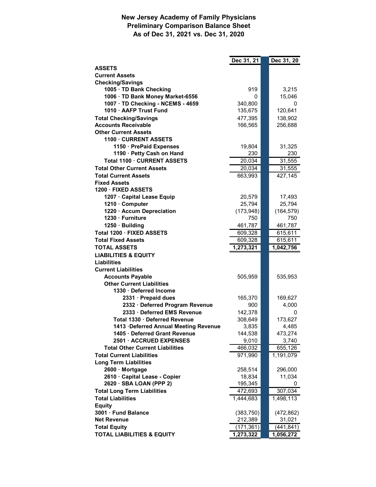#### **New Jersey Academy of Family Physicians Preliminary Comparison Balance Sheet As of Dec 31, 2021 vs. Dec 31, 2020**

|                                                             | Dec 31, 21 | Dec 31, 20 |
|-------------------------------------------------------------|------------|------------|
| <b>ASSETS</b>                                               |            |            |
| <b>Current Assets</b>                                       |            |            |
| <b>Checking/Savings</b>                                     |            |            |
| 1005 · TD Bank Checking                                     | 919        | 3,215      |
| 1006 · TD Bank Money Market-6556                            | 0          | 15,046     |
| 1007 · TD Checking - NCEMS - 4659                           | 340,800    | 0          |
| 1010 · AAFP Trust Fund                                      | 135,675    | 120,641    |
| <b>Total Checking/Savings</b>                               | 477,395    | 138,902    |
| <b>Accounts Receivable</b>                                  | 166,565    | 256,688    |
| <b>Other Current Assets</b>                                 |            |            |
| 1100 · CURRENT ASSETS                                       |            |            |
| 1150 · PrePaid Expenses                                     | 19,804     | 31,325     |
| 1190 · Petty Cash on Hand                                   | 230        | 230        |
| Total 1100 · CURRENT ASSETS                                 | 20,034     | 31,555     |
| <b>Total Other Current Assets</b>                           | 20,034     | 31,555     |
| <b>Total Current Assets</b>                                 | 663,993    | 427,145    |
| <b>Fixed Assets</b>                                         |            |            |
| 1200 · FIXED ASSETS                                         |            |            |
| 1207 · Capital Lease Equip                                  | 20,579     | 17,493     |
| 1210 · Computer                                             | 25,794     | 25,794     |
| 1220 · Accum Depreciation                                   | (173, 948) | (164, 579) |
| 1230 · Furniture                                            | 750        | 750        |
| 1250 · Building                                             | 461,787    | 461,787    |
| Total 1200 · FIXED ASSETS                                   | 609,328    | 615,611    |
| <b>Total Fixed Assets</b>                                   | 609,328    | 615, 611   |
| <b>TOTAL ASSETS</b>                                         | 1,273,321  | 1,042,756  |
| <b>LIABILITIES &amp; EQUITY</b>                             |            |            |
| <b>Liabilities</b>                                          |            |            |
| <b>Current Liabilities</b>                                  |            |            |
| <b>Accounts Payable</b><br><b>Other Current Liabilities</b> | 505,959    | 535,953    |
| 1330 · Deferred Income                                      |            |            |
| 2331 · Prepaid dues                                         | 165,370    | 169,627    |
| 2332 · Deferred Program Revenue                             | 900        | 4,000      |
| 2333 · Deferred EMS Revenue                                 | 142,378    | 0          |
| Total 1330 · Deferred Revenue                               | 308,649    | 173,627    |
| 1413 Deferred Annual Meeting Revenue                        | 3,835      | 4,485      |
| 1405 · Deferred Grant Revenue                               | 144,538    | 473,274    |
| 2501 · ACCRUED EXPENSES                                     | 9,010      | 3,740      |
| <b>Total Other Current Liabilities</b>                      | 466,032    | 655,126    |
| <b>Total Current Liabilities</b>                            | 971,990    | 1,191,079  |
| <b>Long Term Liabilities</b>                                |            |            |
| 2600 · Mortgage                                             | 258,514    | 296,000    |
| 2610 · Capital Lease - Copier                               | 18,834     | 11,034     |
| 2620 · SBA LOAN (PPP 2)                                     | 195,345    | 0          |
| <b>Total Long Term Liabilities</b>                          | 472,693    | 307,034    |
| <b>Total Liabilities</b>                                    | 1,444,683  | 1,498,113  |
| <b>Equity</b>                                               |            |            |
| 3001 · Fund Balance                                         | (383, 750) | (472, 862) |
| <b>Net Revenue</b>                                          | 212,389    | 31,021     |
| <b>Total Equity</b>                                         | (171, 361) | (441, 841) |
| <b>TOTAL LIABILITIES &amp; EQUITY</b>                       | 1,273,322  | 1,056,272  |